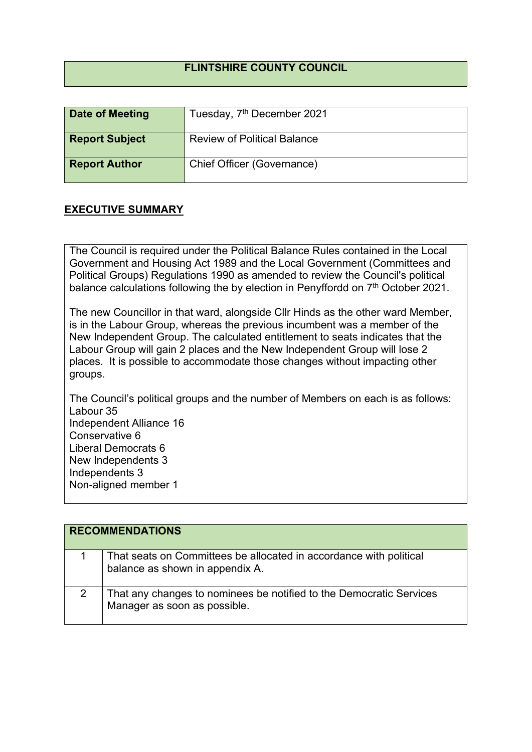## **FLINTSHIRE COUNTY COUNCIL**

| Date of Meeting       | Tuesday, 7 <sup>th</sup> December 2021 |
|-----------------------|----------------------------------------|
| <b>Report Subject</b> | <b>Review of Political Balance</b>     |
| <b>Report Author</b>  | Chief Officer (Governance)             |

## **EXECUTIVE SUMMARY**

The Council is required under the Political Balance Rules contained in the Local Government and Housing Act 1989 and the Local Government (Committees and Political Groups) Regulations 1990 as amended to review the Council's political balance calculations following the by election in Penyffordd on 7<sup>th</sup> October 2021.

The new Councillor in that ward, alongside Cllr Hinds as the other ward Member, is in the Labour Group, whereas the previous incumbent was a member of the New Independent Group. The calculated entitlement to seats indicates that the Labour Group will gain 2 places and the New Independent Group will lose 2 places. It is possible to accommodate those changes without impacting other groups.

The Council's political groups and the number of Members on each is as follows: Labour 35 Independent Alliance 16 Conservative 6 Liberal Democrats 6 New Independents 3 Independents 3 Non-aligned member 1

| <b>RECOMMENDATIONS</b> |                                                                                                       |
|------------------------|-------------------------------------------------------------------------------------------------------|
|                        | That seats on Committees be allocated in accordance with political<br>balance as shown in appendix A. |
|                        | That any changes to nominees be notified to the Democratic Services<br>Manager as soon as possible.   |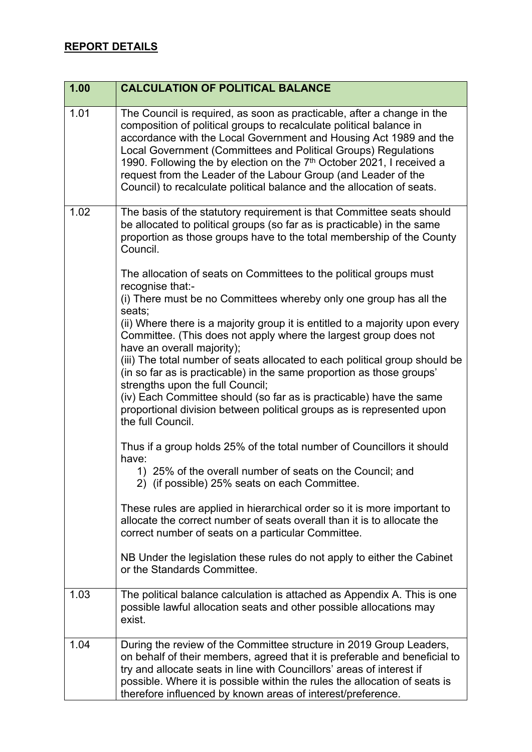| 1.00 | <b>CALCULATION OF POLITICAL BALANCE</b>                                                                                                                                                                                                                                                                                                                                                                                                                                                                               |
|------|-----------------------------------------------------------------------------------------------------------------------------------------------------------------------------------------------------------------------------------------------------------------------------------------------------------------------------------------------------------------------------------------------------------------------------------------------------------------------------------------------------------------------|
| 1.01 | The Council is required, as soon as practicable, after a change in the<br>composition of political groups to recalculate political balance in<br>accordance with the Local Government and Housing Act 1989 and the<br>Local Government (Committees and Political Groups) Regulations<br>1990. Following the by election on the 7 <sup>th</sup> October 2021, I received a<br>request from the Leader of the Labour Group (and Leader of the<br>Council) to recalculate political balance and the allocation of seats. |
| 1.02 | The basis of the statutory requirement is that Committee seats should<br>be allocated to political groups (so far as is practicable) in the same<br>proportion as those groups have to the total membership of the County<br>Council.                                                                                                                                                                                                                                                                                 |
|      | The allocation of seats on Committees to the political groups must<br>recognise that:-                                                                                                                                                                                                                                                                                                                                                                                                                                |
|      | (i) There must be no Committees whereby only one group has all the<br>seats;                                                                                                                                                                                                                                                                                                                                                                                                                                          |
|      | (ii) Where there is a majority group it is entitled to a majority upon every<br>Committee. (This does not apply where the largest group does not<br>have an overall majority);                                                                                                                                                                                                                                                                                                                                        |
|      | (iii) The total number of seats allocated to each political group should be<br>(in so far as is practicable) in the same proportion as those groups'<br>strengths upon the full Council;                                                                                                                                                                                                                                                                                                                              |
|      | (iv) Each Committee should (so far as is practicable) have the same<br>proportional division between political groups as is represented upon<br>the full Council.                                                                                                                                                                                                                                                                                                                                                     |
|      | Thus if a group holds 25% of the total number of Councillors it should<br>have:                                                                                                                                                                                                                                                                                                                                                                                                                                       |
|      | 1) 25% of the overall number of seats on the Council; and<br>2) (if possible) 25% seats on each Committee.                                                                                                                                                                                                                                                                                                                                                                                                            |
|      | These rules are applied in hierarchical order so it is more important to<br>allocate the correct number of seats overall than it is to allocate the<br>correct number of seats on a particular Committee.                                                                                                                                                                                                                                                                                                             |
|      | NB Under the legislation these rules do not apply to either the Cabinet<br>or the Standards Committee.                                                                                                                                                                                                                                                                                                                                                                                                                |
| 1.03 | The political balance calculation is attached as Appendix A. This is one<br>possible lawful allocation seats and other possible allocations may<br>exist.                                                                                                                                                                                                                                                                                                                                                             |
| 1.04 | During the review of the Committee structure in 2019 Group Leaders,<br>on behalf of their members, agreed that it is preferable and beneficial to<br>try and allocate seats in line with Councillors' areas of interest if<br>possible. Where it is possible within the rules the allocation of seats is<br>therefore influenced by known areas of interest/preference.                                                                                                                                               |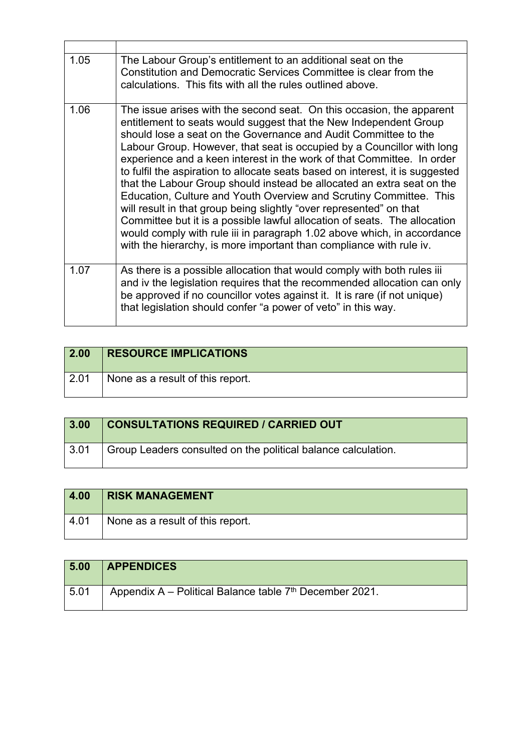| 1.05 | The Labour Group's entitlement to an additional seat on the<br>Constitution and Democratic Services Committee is clear from the<br>calculations. This fits with all the rules outlined above.                                                                                                                                                                                                                                                                                                                                                                                                                                                                                                                                                                                                                                                                                                            |
|------|----------------------------------------------------------------------------------------------------------------------------------------------------------------------------------------------------------------------------------------------------------------------------------------------------------------------------------------------------------------------------------------------------------------------------------------------------------------------------------------------------------------------------------------------------------------------------------------------------------------------------------------------------------------------------------------------------------------------------------------------------------------------------------------------------------------------------------------------------------------------------------------------------------|
| 1.06 | The issue arises with the second seat. On this occasion, the apparent<br>entitlement to seats would suggest that the New Independent Group<br>should lose a seat on the Governance and Audit Committee to the<br>Labour Group. However, that seat is occupied by a Councillor with long<br>experience and a keen interest in the work of that Committee. In order<br>to fulfil the aspiration to allocate seats based on interest, it is suggested<br>that the Labour Group should instead be allocated an extra seat on the<br>Education, Culture and Youth Overview and Scrutiny Committee. This<br>will result in that group being slightly "over represented" on that<br>Committee but it is a possible lawful allocation of seats. The allocation<br>would comply with rule iii in paragraph 1.02 above which, in accordance<br>with the hierarchy, is more important than compliance with rule iv. |
| 1.07 | As there is a possible allocation that would comply with both rules iii<br>and iv the legislation requires that the recommended allocation can only<br>be approved if no councillor votes against it. It is rare (if not unique)<br>that legislation should confer "a power of veto" in this way.                                                                                                                                                                                                                                                                                                                                                                                                                                                                                                                                                                                                        |

| 2.00 | <b>RESOURCE IMPLICATIONS</b>     |
|------|----------------------------------|
| 2.01 | None as a result of this report. |

| 3.00            | <b>CONSULTATIONS REQUIRED / CARRIED OUT</b>                   |
|-----------------|---------------------------------------------------------------|
| $^{\circ}$ 3.01 | Group Leaders consulted on the political balance calculation. |

| 4.00 | <b>RISK MANAGEMENT</b>           |
|------|----------------------------------|
| 4.01 | None as a result of this report. |

| 5.00 | <b>APPENDICES</b>                                         |
|------|-----------------------------------------------------------|
| 5.01 | Appendix A – Political Balance table $7th$ December 2021. |